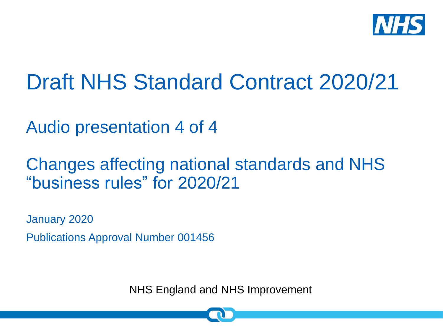

# Draft NHS Standard Contract 2020/21

Audio presentation 4 of 4

## Changes affecting national standards and NHS "business rules" for 2020/21

January 2020

Publications Approval Number 001456

NHS England and NHS Improvement

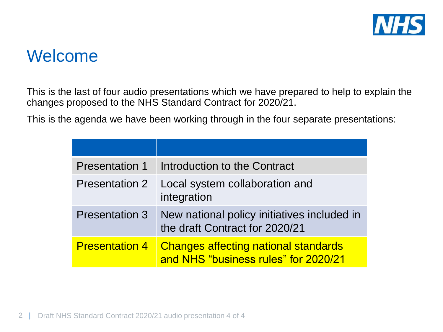

#### Welcome

This is the last of four audio presentations which we have prepared to help to explain the changes proposed to the NHS Standard Contract for 2020/21.

This is the agenda we have been working through in the four separate presentations:

| <b>Presentation 1</b> | Introduction to the Contract                                                        |
|-----------------------|-------------------------------------------------------------------------------------|
| <b>Presentation 2</b> | Local system collaboration and<br>integration                                       |
| <b>Presentation 3</b> | New national policy initiatives included in<br>the draft Contract for 2020/21       |
| <b>Presentation 4</b> | <b>Changes affecting national standards</b><br>and NHS "business rules" for 2020/21 |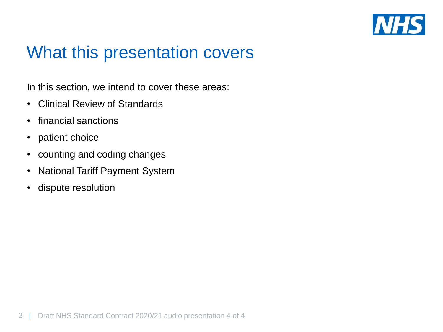

#### What this presentation covers

In this section, we intend to cover these areas:

- Clinical Review of Standards
- financial sanctions
- patient choice
- counting and coding changes
- National Tariff Payment System
- dispute resolution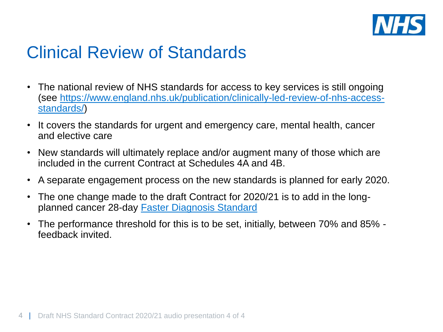

## Clinical Review of Standards

- The national review of NHS standards for access to key services is still ongoing [\(see https://www.england.nhs.uk/publication/clinically-led-review-of-nhs-access](https://www.england.nhs.uk/publication/clinically-led-review-of-nhs-access-standards/)standards/)
- It covers the standards for urgent and emergency care, mental health, cancer and elective care
- New standards will ultimately replace and/or augment many of those which are included in the current Contract at Schedules 4A and 4B.
- A separate engagement process on the new standards is planned for early 2020.
- The one change made to the draft Contract for 2020/21 is to add in the longplanned cancer 28-day [Faster Diagnosis Standard](https://www.england.nhs.uk/cancer/early-diagnosis/)
- The performance threshold for this is to be set, initially, between 70% and 85% feedback invited.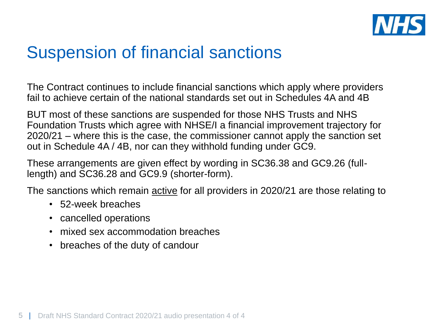

## Suspension of financial sanctions

The Contract continues to include financial sanctions which apply where providers fail to achieve certain of the national standards set out in Schedules 4A and 4B

BUT most of these sanctions are suspended for those NHS Trusts and NHS Foundation Trusts which agree with NHSE/I a financial improvement trajectory for 2020/21 – where this is the case, the commissioner cannot apply the sanction set out in Schedule 4A / 4B, nor can they withhold funding under GC9.

These arrangements are given effect by wording in SC36.38 and GC9.26 (fulllength) and SC36.28 and GC9.9 (shorter-form).

The sanctions which remain active for all providers in 2020/21 are those relating to

- 52-week breaches
- cancelled operations
- mixed sex accommodation breaches
- breaches of the duty of candour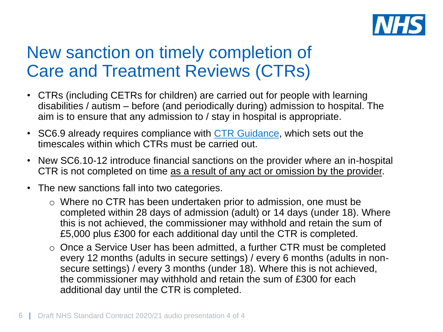

## New sanction on timely completion of Care and Treatment Reviews (CTRs)

- CTRs (including CETRs for children) are carried out for people with learning disabilities / autism – before (and periodically during) admission to hospital. The aim is to ensure that any admission to / stay in hospital is appropriate.
- SC6.9 already requires compliance with [CTR Guidance,](https://www.england.nhs.uk/learning-disabilities/care/ctr/) which sets out the timescales within which CTRs must be carried out.
- New SC6.10-12 introduce financial sanctions on the provider where an in-hospital CTR is not completed on time as a result of any act or omission by the provider.
- The new sanctions fall into two categories.
	- o Where no CTR has been undertaken prior to admission, one must be completed within 28 days of admission (adult) or 14 days (under 18). Where this is not achieved, the commissioner may withhold and retain the sum of £5,000 plus £300 for each additional day until the CTR is completed.
	- o Once a Service User has been admitted, a further CTR must be completed every 12 months (adults in secure settings) / every 6 months (adults in nonsecure settings) / every 3 months (under 18). Where this is not achieved, the commissioner may withhold and retain the sum of £300 for each additional day until the CTR is completed.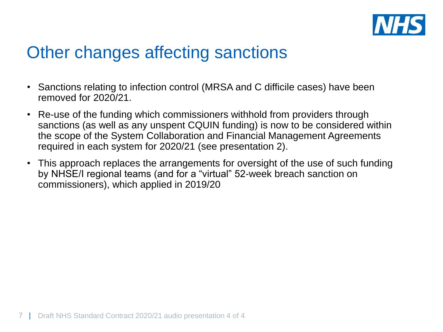

## Other changes affecting sanctions

- Sanctions relating to infection control (MRSA and C difficile cases) have been removed for 2020/21.
- Re-use of the funding which commissioners withhold from providers through sanctions (as well as any unspent CQUIN funding) is now to be considered within the scope of the System Collaboration and Financial Management Agreements required in each system for 2020/21 (see presentation 2).
- This approach replaces the arrangements for oversight of the use of such funding by NHSE/I regional teams (and for a "virtual" 52-week breach sanction on commissioners), which applied in 2019/20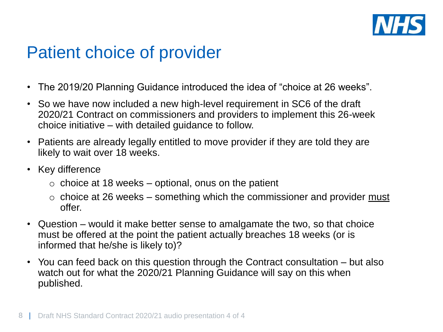

#### Patient choice of provider

- The 2019/20 Planning Guidance introduced the idea of "choice at 26 weeks".
- So we have now included a new high-level requirement in SC6 of the draft 2020/21 Contract on commissioners and providers to implement this 26-week choice initiative – with detailed guidance to follow.
- Patients are already legally entitled to move provider if they are told they are likely to wait over 18 weeks.
- Key difference
	- $\circ$  choice at 18 weeks optional, onus on the patient
	- $\circ$  choice at 26 weeks something which the commissioner and provider must offer.
- Question would it make better sense to amalgamate the two, so that choice must be offered at the point the patient actually breaches 18 weeks (or is informed that he/she is likely to)?
- You can feed back on this question through the Contract consultation but also watch out for what the 2020/21 Planning Guidance will say on this when published.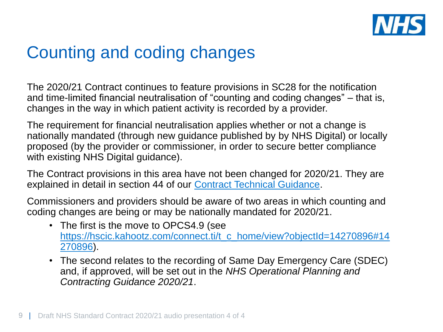

## Counting and coding changes

The 2020/21 Contract continues to feature provisions in SC28 for the notification and time-limited financial neutralisation of "counting and coding changes" – that is, changes in the way in which patient activity is recorded by a provider.

The requirement for financial neutralisation applies whether or not a change is nationally mandated (through new guidance published by by NHS Digital) or locally proposed (by the provider or commissioner, in order to secure better compliance with existing NHS Digital guidance).

The Contract provisions in this area have not been changed for 2020/21. They are explained in detail in section 44 of our [Contract Technical Guidance.](https://www.england.nhs.uk/publication/nhs-standard-contract-draft-2020-21-technical-guidance/)

Commissioners and providers should be aware of two areas in which counting and coding changes are being or may be nationally mandated for 2020/21.

- The first is the move to OPCS4.9 (see [https://hscic.kahootz.com/connect.ti/t\\_c\\_home/view?objectId=14270896#14](https://hscic.kahootz.com/connect.ti/t_c_home/view?objectId=14270896#14270896) 270896).
- The second relates to the recording of Same Day Emergency Care (SDEC) and, if approved, will be set out in the *NHS Operational Planning and Contracting Guidance 2020/21*.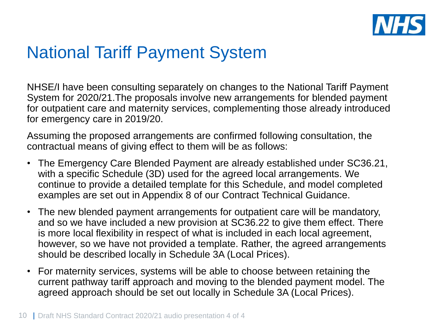

#### National Tariff Payment System

NHSE/I have been consulting separately on changes to the National Tariff Payment System for 2020/21.The proposals involve new arrangements for blended payment for outpatient care and maternity services, complementing those already introduced for emergency care in 2019/20.

Assuming the proposed arrangements are confirmed following consultation, the contractual means of giving effect to them will be as follows:

- The Emergency Care Blended Payment are already established under SC36.21, with a specific Schedule (3D) used for the agreed local arrangements. We continue to provide a detailed template for this Schedule, and model completed examples are set out in Appendix 8 of our Contract Technical Guidance.
- The new blended payment arrangements for outpatient care will be mandatory, and so we have included a new provision at SC36.22 to give them effect. There is more local flexibility in respect of what is included in each local agreement, however, so we have not provided a template. Rather, the agreed arrangements should be described locally in Schedule 3A (Local Prices).
- For maternity services, systems will be able to choose between retaining the current pathway tariff approach and moving to the blended payment model. The agreed approach should be set out locally in Schedule 3A (Local Prices).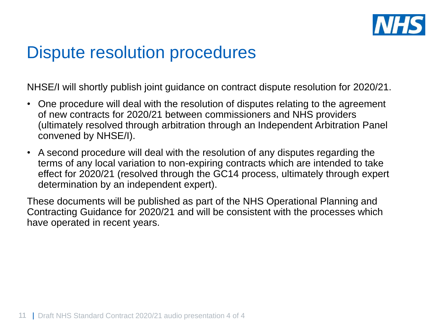

#### Dispute resolution procedures

NHSE/I will shortly publish joint guidance on contract dispute resolution for 2020/21.

- One procedure will deal with the resolution of disputes relating to the agreement of new contracts for 2020/21 between commissioners and NHS providers (ultimately resolved through arbitration through an Independent Arbitration Panel convened by NHSE/I).
- A second procedure will deal with the resolution of any disputes regarding the terms of any local variation to non-expiring contracts which are intended to take effect for 2020/21 (resolved through the GC14 process, ultimately through expert determination by an independent expert).

These documents will be published as part of the NHS Operational Planning and Contracting Guidance for 2020/21 and will be consistent with the processes which have operated in recent years.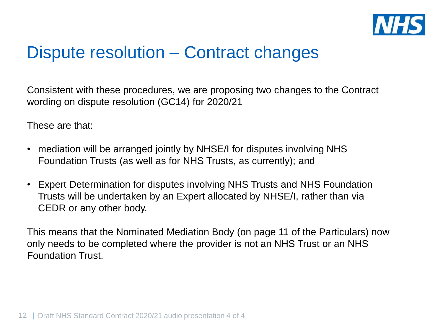

#### Dispute resolution – Contract changes

Consistent with these procedures, we are proposing two changes to the Contract wording on dispute resolution (GC14) for 2020/21

These are that:

- mediation will be arranged jointly by NHSE/I for disputes involving NHS Foundation Trusts (as well as for NHS Trusts, as currently); and
- Expert Determination for disputes involving NHS Trusts and NHS Foundation Trusts will be undertaken by an Expert allocated by NHSE/I, rather than via CEDR or any other body.

This means that the Nominated Mediation Body (on page 11 of the Particulars) now only needs to be completed where the provider is not an NHS Trust or an NHS Foundation Trust.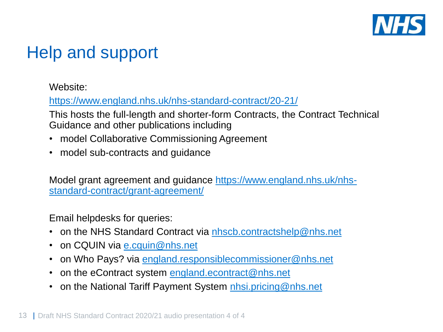

## Help and support

Website:

<https://www.england.nhs.uk/nhs-standard-contract/20-21/>

This hosts the full-length and shorter-form Contracts, the Contract Technical Guidance and other publications including

- model Collaborative Commissioning Agreement
- model sub-contracts and guidance

[Model grant agreement and guidance https://www.england.nhs.uk/nhs](https://www.england.nhs.uk/nhs-standard-contract/grant-agreement/)standard-contract/grant-agreement/

Email helpdesks for queries:

- on the NHS Standard Contract via [nhscb.contractshelp@nhs.net](mailto:nhscb.contractshelp@nhs.net)
- on CQUIN via [e.cquin@nhs.net](mailto:e.cquin@nhs.net)
- on Who Pays? via [england.responsiblecommissioner@nhs.net](mailto:england.responsiblecommissioner@nhs.net)
- on the eContract system [england.econtract@nhs.net](mailto:england.econtract@nhs.net)
- on the National Tariff Payment System [nhsi.pricing@nhs.net](mailto:nhsi.pricing@nhs.net)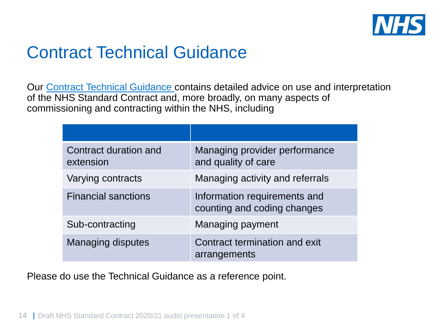

## Contract Technical Guidance

Our [Contract Technical Guidance c](https://www.england.nhs.uk/nhs-standard-contract/20-21/)ontains detailed advice on use and interpretation of the NHS Standard Contract and, more broadly, on many aspects of commissioning and contracting within the NHS, including

| Contract duration and<br>extension | Managing provider performance<br>and quality of care        |
|------------------------------------|-------------------------------------------------------------|
| Varying contracts                  | Managing activity and referrals                             |
| <b>Financial sanctions</b>         | Information requirements and<br>counting and coding changes |
| Sub-contracting                    | Managing payment                                            |
| <b>Managing disputes</b>           | Contract termination and exit<br>arrangements               |

Please do use the Technical Guidance as a reference point.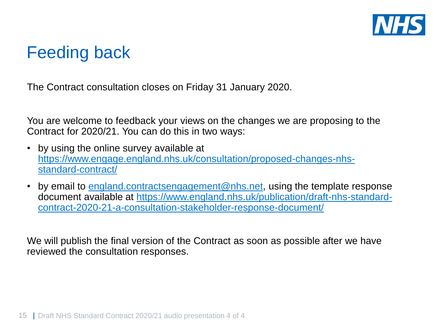

## Feeding back

The Contract consultation closes on Friday 31 January 2020.

You are welcome to feedback your views on the changes we are proposing to the Contract for 2020/21. You can do this in two ways:

- by using the online survey available at [https://www.engage.england.nhs.uk/consultation/proposed-changes-nhs](https://www.engage.england.nhs.uk/consultation/proposed-changes-nhs-standard-contract/)standard-contract/
- by email to [england.contractsengagement@nhs.net,](mailto:england.contractsengagement@nhs.net) using the template response [document available at https://www.england.nhs.uk/publication/draft-nhs-standard](https://www.england.nhs.uk/publication/draft-nhs-standard-contract-2020-21-a-consultation-stakeholder-response-document/)contract-2020-21-a-consultation-stakeholder-response-document/

We will publish the final version of the Contract as soon as possible after we have reviewed the consultation responses.